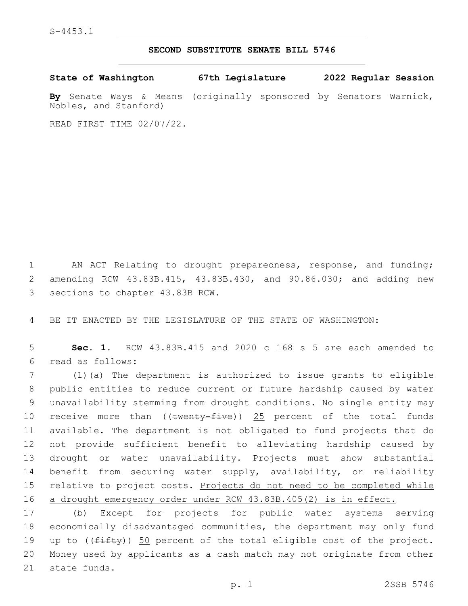## **SECOND SUBSTITUTE SENATE BILL 5746**

**State of Washington 67th Legislature 2022 Regular Session By** Senate Ways & Means (originally sponsored by Senators Warnick,

READ FIRST TIME 02/07/22.

Nobles, and Stanford)

1 AN ACT Relating to drought preparedness, response, and funding; 2 amending RCW 43.83B.415, 43.83B.430, and 90.86.030; and adding new 3 sections to chapter 43.83B RCW.

4 BE IT ENACTED BY THE LEGISLATURE OF THE STATE OF WASHINGTON:

5 **Sec. 1.** RCW 43.83B.415 and 2020 c 168 s 5 are each amended to read as follows:6

 (1)(a) The department is authorized to issue grants to eligible public entities to reduce current or future hardship caused by water unavailability stemming from drought conditions. No single entity may 10 receive more than  $((\text{twenty-five}))$  25 percent of the total funds available. The department is not obligated to fund projects that do not provide sufficient benefit to alleviating hardship caused by drought or water unavailability. Projects must show substantial benefit from securing water supply, availability, or reliability 15 relative to project costs. Projects do not need to be completed while a drought emergency order under RCW 43.83B.405(2) is in effect.

17 (b) Except for projects for public water systems serving 18 economically disadvantaged communities, the department may only fund 19 up to  $((fiff)y)$  50 percent of the total eligible cost of the project. 20 Money used by applicants as a cash match may not originate from other 21 state funds.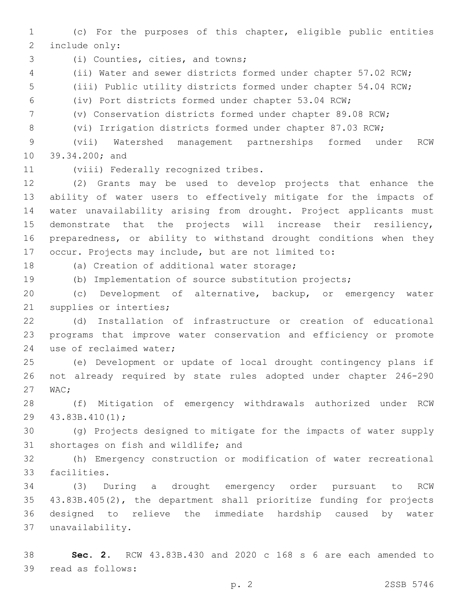(c) For the purposes of this chapter, eligible public entities 2 include only:

3 (i) Counties, cities, and towns;

(ii) Water and sewer districts formed under chapter 57.02 RCW;

(iii) Public utility districts formed under chapter 54.04 RCW;

(iv) Port districts formed under chapter 53.04 RCW;

(v) Conservation districts formed under chapter 89.08 RCW;

(vi) Irrigation districts formed under chapter 87.03 RCW;

 (vii) Watershed management partnerships formed under RCW 10 39.34.200; and

11 (viii) Federally recognized tribes.

 (2) Grants may be used to develop projects that enhance the ability of water users to effectively mitigate for the impacts of water unavailability arising from drought. Project applicants must demonstrate that the projects will increase their resiliency, preparedness, or ability to withstand drought conditions when they occur. Projects may include, but are not limited to:

18 (a) Creation of additional water storage;

(b) Implementation of source substitution projects;

 (c) Development of alternative, backup, or emergency water 21 supplies or interties;

 (d) Installation of infrastructure or creation of educational programs that improve water conservation and efficiency or promote 24 use of reclaimed water;

 (e) Development or update of local drought contingency plans if not already required by state rules adopted under chapter 246-290 27 WAC:

 (f) Mitigation of emergency withdrawals authorized under RCW 29 43.83B.410(1);

 (g) Projects designed to mitigate for the impacts of water supply 31 shortages on fish and wildlife; and

 (h) Emergency construction or modification of water recreational 33 facilities.

 (3) During a drought emergency order pursuant to RCW 43.83B.405(2), the department shall prioritize funding for projects designed to relieve the immediate hardship caused by water unavailability.37

 **Sec. 2.** RCW 43.83B.430 and 2020 c 168 s 6 are each amended to 39 read as follows: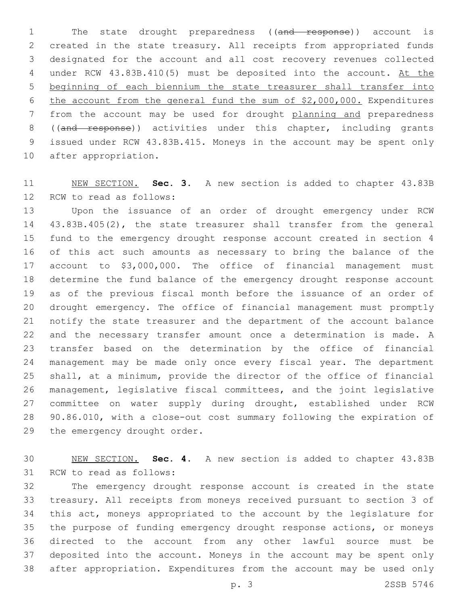1 The state drought preparedness ((and response)) account is created in the state treasury. All receipts from appropriated funds designated for the account and all cost recovery revenues collected 4 under RCW 43.83B.410(5) must be deposited into the account. At the beginning of each biennium the state treasurer shall transfer into the account from the general fund the sum of \$2,000,000. Expenditures from the account may be used for drought planning and preparedness 8 ((and response)) activities under this chapter, including grants issued under RCW 43.83B.415. Moneys in the account may be spent only 10 after appropriation.

 NEW SECTION. **Sec. 3.** A new section is added to chapter 43.83B 12 RCW to read as follows:

 Upon the issuance of an order of drought emergency under RCW 43.83B.405(2), the state treasurer shall transfer from the general fund to the emergency drought response account created in section 4 of this act such amounts as necessary to bring the balance of the account to \$3,000,000. The office of financial management must determine the fund balance of the emergency drought response account as of the previous fiscal month before the issuance of an order of drought emergency. The office of financial management must promptly notify the state treasurer and the department of the account balance and the necessary transfer amount once a determination is made. A transfer based on the determination by the office of financial management may be made only once every fiscal year. The department shall, at a minimum, provide the director of the office of financial management, legislative fiscal committees, and the joint legislative committee on water supply during drought, established under RCW 90.86.010, with a close-out cost summary following the expiration of 29 the emergency drought order.

 NEW SECTION. **Sec. 4.** A new section is added to chapter 43.83B 31 RCW to read as follows:

 The emergency drought response account is created in the state treasury. All receipts from moneys received pursuant to section 3 of this act, moneys appropriated to the account by the legislature for the purpose of funding emergency drought response actions, or moneys directed to the account from any other lawful source must be deposited into the account. Moneys in the account may be spent only after appropriation. Expenditures from the account may be used only